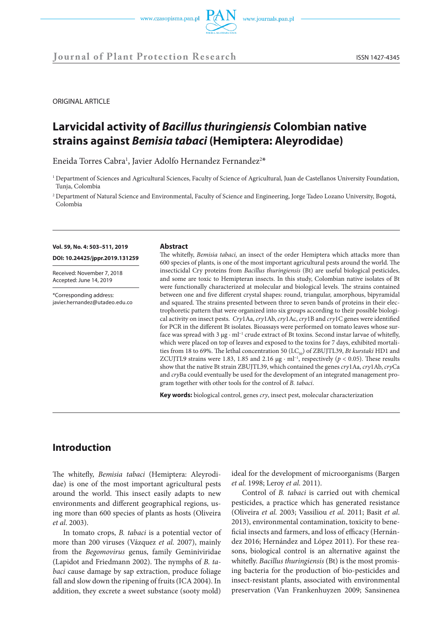

**Journal of Plant Protection Research** ISSN 1427-4345

ORIGINAL ARTICLE

# **Larvicidal activity of** *Bacillus thuringiensis* **Colombian native strains against** *Bemisia tabaci* **(Hemiptera: Aleyrodidae)**

Eneida Torres Cabra<sup>1</sup>, Javier Adolfo Hernandez Fernandez<sup>2\*</sup>

<sup>2</sup> Department of Natural Science and Environmental, Faculty of Science and Engineering, Jorge Tadeo Lozano University, Bogotá, Colombia

#### **Vol. 59, No. 4: 503–511, 2019**

**DOI: 10.24425/jppr.2019.131259**

Received: November 7, 2018 Accepted: June 14, 2019

\*Corresponding address: javier.hernandez@utadeo.edu.co

#### **Abstract**

The whitefly, *Bemisia tabaci,* an insect of the order Hemiptera which attacks more than 600 species of plants, is one of the most important agricultural pests around the world. The insecticidal Cry proteins from *Bacillus thuringiensis* (Bt) are useful biological pesticides, and some are toxic to Hemipteran insects. In this study, Colombian native isolates of Bt were functionally characterized at molecular and biological levels. The strains contained between one and five different crystal shapes: round, triangular, amorphous, bipyramidal and squared. The strains presented between three to seven bands of proteins in their electrophoretic pattern that were organized into six groups according to their possible biological activity on insect pests. *Cry*1Aa, *cry*1Ab, *cry*1Ac, *cry*1B and *cry*1C genes were identified for PCR in the different Bt isolates. Bioassays were performed on tomato leaves whose surface was spread with 3 µg · ml<sup>-1</sup> crude extract of Bt toxins. Second instar larvae of whitefly, which were placed on top of leaves and exposed to the toxins for 7 days, exhibited mortalities from 18 to 69%. The lethal concentration 50 (LC<sub>50</sub>) of ZBUJTL39, *Bt kurstaki* HD1 and ZCUJTL9 strains were 1.83, 1.85 and 2.16  $\mu$ g · ml<sup>-1</sup>, respectively ( $p < 0.05$ ). These results show that the native Bt strain ZBUJTL39, which contained the genes *cry*1Aa, *cry*1Ab, *cry*Ca and *cry*Ba could eventually be used for the development of an integrated management program together with other tools for the control of *B. tabaci*.

**Key words:** biological control, genes *cry*, insect pest, molecular characterization

## **Introduction**

The whitefly, *Bemisia tabaci* (Hemiptera: Aleyrodidae) is one of the most important agricultural pests around the world. This insect easily adapts to new environments and different geographical regions, using more than 600 species of plants as hosts (Oliveira *et al*. 2003).

In tomato crops, *B. tabaci* is a potential vector of more than 200 viruses (Vázquez *et al.* 2007), mainly from the *Begomovirus* genus, family Geminiviridae (Lapidot and Friedmann 2002). The nymphs of *B. tabaci* cause damage by sap extraction, produce foliage fall and slow down the ripening of fruits (ICA 2004). In addition, they excrete a sweet substance (sooty mold)

ideal for the development of microorganisms (Bargen *et al.* 1998; Leroy *et al.* 2011).

Control of *B. tabaci* is carried out with chemical pesticides, a practice which has generated resistance (Oliveira *et al.* 2003; Vassiliou *et al*. 2011; Basit *et al*. 2013), environmental contamination, toxicity to beneficial insects and farmers, and loss of efficacy (Hernández 2016; Hernández and López 2011). For these reasons, biological control is an alternative against the whitefly. *Bacillus thuringiensis* (Bt) is the most promising bacteria for the production of bio-pesticides and insect-resistant plants, associated with environmental preservation (Van Frankenhuyzen 2009; Sansinenea

<sup>&</sup>lt;sup>1</sup> Department of Sciences and Agricultural Sciences, Faculty of Science of Agricultural, Juan de Castellanos University Foundation, Tunja, Colombia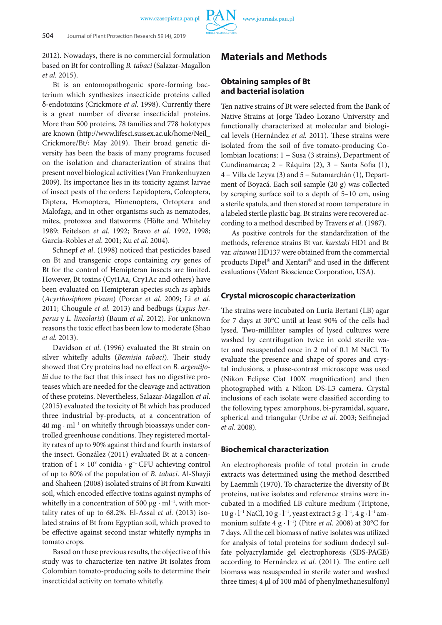2012). Nowadays, there is no commercial formulation based on Bt for controlling *B. tabaci* (Salazar-Magallon *et al.* 2015).

Bt is an entomopathogenic spore-forming bacterium which synthesizes insecticide proteins called δ-endotoxins (Crickmore *et al.* 1998). Currently there is a great number of diverse insecticidal proteins. More than 500 proteins, 78 families and 778 holotypes are known (http://www.lifesci.sussex.ac.uk/home/Neil\_ Crickmore/Bt/; May 2019). Their broad genetic diversity has been the basis of many programs focused on the isolation and characterization of strains that present novel biological activities (Van Frankenhuyzen 2009). Its importance lies in its toxicity against larvae of insect pests of the orders: Lepidoptera, Coleoptera, Diptera, Homoptera, Himenoptera, Ortoptera and Malofaga, and in other organisms such as nematodes, mites, protozoa and flatworms (Höfte and Whiteley 1989; Feitelson *et al*. 1992; Bravo *et al.* 1992, 1998; García-Robles *et al*. 2001; Xu *et al.* 2004).

Schnepf *et al*. (1998) noticed that pesticides based on Bt and transgenic crops containing *cry* genes of Bt for the control of Hemipteran insects are limited. However, Bt toxins (Cyt1Aa, Cry1Ac and others) have been evaluated on Hemipteran species such as aphids (*Acyrthosiphom pisum*) (Porcar *et al*. 2009; Li *et al.* 2011; Chougule *et al.* 2013) and bedbugs (*Lygus herperus* y *L. lineolaris*) (Baum *et al*. 2012). For unknown reasons the toxic effect has been low to moderate (Shao *et al.* 2013).

Davidson *et al*. (1996) evaluated the Bt strain on silver whitefly adults (*Bemisia tabaci*). Their study showed that Cry proteins had no effect on *B. argentifolii* due to the fact that this insect has no digestive proteases which are needed for the cleavage and activation of these proteins. Nevertheless, Salazar-Magallon *et al*. (2015) evaluated the toxicity of Bt which has produced three industrial by-products, at a concentration of 40 mg · ml−1 on whitefly through bioassays under controlled greenhouse conditions. They registered mortality rates of up to 90% against third and fourth instars of the insect. González (2011) evaluated Bt at a concentration of  $1 \times 10^8$  conidia  $\cdot$  g<sup>-1</sup> CFU achieving control of up to 80% of the population of *B. tabaci*. Al-Shayji and Shaheen (2008) isolated strains of Bt from Kuwaiti soil, which encoded effective toxins against nymphs of whitefly in a concentration of 500  $\mu$ g · ml<sup>-1</sup>, with mortality rates of up to 68.2%. El-Assal *et al*. (2013) isolated strains of Bt from Egyptian soil, which proved to be effective against second instar whitefly nymphs in tomato crops.

Based on these previous results, the objective of this study was to characterize ten native Bt isolates from Colombian tomato-producing soils to determine their insecticidal activity on tomato whitefly.

## **Materials and Methods**

## **Obtaining samples of Bt and bacterial isolation**

Ten native strains of Bt were selected from the Bank of Native Strains at Jorge Tadeo Lozano University and functionally characterized at molecular and biological levels (Hernández *et al.* 2011). These strains were isolated from the soil of five tomato-producing Colombian locations: 1 − Susa (3 strains), Department of Cundinamarca; 2 − Ráquira (2), 3 − Santa Sofia (1), 4 − Villa de Leyva (3) and 5 − Sutamarchán (1), Department of Boyacá. Each soil sample (20 g) was collected by scraping surface soil to a depth of 5–10 cm, using a sterile spatula, and then stored at room temperature in a labeled sterile plastic bag. Bt strains were recovered according to a method described by Travers *et al*. (1987).

As positive controls for the standardization of the methods, reference strains Bt var. *kurstaki* HD1 and Bt var. *aizawai* HD137 were obtained from the commercial products Dipel® and Xentari® and used in the different evaluations (Valent Bioscience Corporation, USA).

## **Crystal microscopic characterization**

The strains were incubated on Luria Bertani (LB) agar for 7 days at 30°C until at least 90% of the cells had lysed. Two-milliliter samples of lysed cultures were washed by centrifugation twice in cold sterile water and resuspended once in 2 ml of 0.1 M NaCl. To evaluate the presence and shape of spores and crystal inclusions, a phase-contrast microscope was used (Nikon Eclipse Ciat 100X magnification) and then photographed with a Nikon DS-L3 camera. Crystal inclusions of each isolate were classified according to the following types: amorphous, bi-pyramidal, square, spherical and triangular (Uribe *et al*. 2003; Seifinejad *et al*. 2008).

#### **Biochemical characterization**

An electrophoresis profile of total protein in crude extracts was determined using the method described by Laemmli (1970). To characterize the diversity of Bt proteins, native isolates and reference strains were incubated in a modified LB culture medium (Triptone, 10 g · l−1 NaCl, 10 g · l−1, yeast extract 5 g · l−1, 4 g · l−1 ammonium sulfate 4 g · l−1) (Pitre *et al*. 2008) at 30°C for 7 days. All the cell biomass of native isolates was utilized for analysis of total proteins for sodium dodecyl sulfate polyacrylamide gel electrophoresis (SDS-PAGE) according to Hernández *et al*. (2011). The entire cell biomass was resuspended in sterile water and washed three times; 4 µl of 100 mM of phenylmethanesulfonyl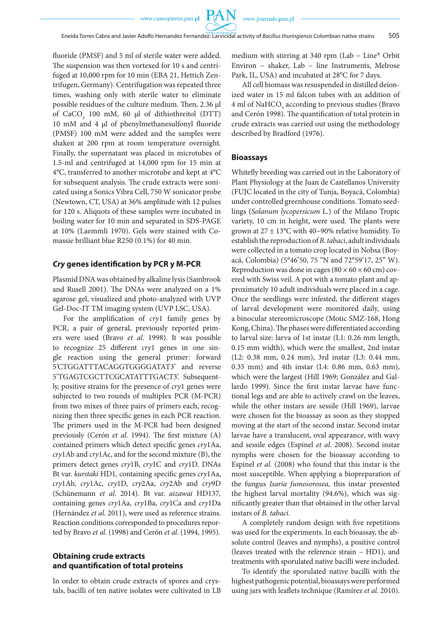fluoride (PMSF) and 5 ml of sterile water were added. The suspension was then vortexed for 10 s and centrifuged at 10,000 rpm for 10 min (EBA 21, Hettich Zentrifugen, Germany). Centrifugation was repeated three times, washing only with sterile water to eliminate possible residues of the culture medium. Then, 2.36 µl of  $CaCO<sub>3</sub>$  100 mM, 60  $\mu$ l of dithiothreitol (DTT) 10 mM and 4 µl of phenylmethanesulfonyl fluoride (PMSF) 100 mM were added and the samples were shaken at 200 rpm at room temperature overnight. Finally, the supernatant was placed in microtubes of 1.5-ml and centrifuged at 14,000 rpm for 15 min at 4°C, transferred to another microtube and kept at 4°C for subsequent analysis. The crude extracts were sonicated using a Sonics Vibra Cell, 750 W sonicator probe (Newtown, CT, USA) at 36% amplitude with 12 pulses for 120 s. Aliquots of these samples were incubated in boiling water for 10 min and separated in SDS-PAGE at 10% (Laemmli 1970). Gels were stained with Comassie brilliant blue R250 (0.1%) for 40 min.

#### *Cry* **genes identification by PCR y M-PCR**

Plasmid DNA was obtained by alkaline lysis (Sambrook and Rusell 2001). The DNAs were analyzed on a 1% agarose gel, visualized and photo-analyzed with UVP Gel-Doc-IT TM imaging system (UVP LSC, USA).

For the amplification of *cry*1 family genes by PCR, a pair of general, previously reported primers were used (Bravo *et al*. 1998). It was possible to recognize 25 different *cry*1 genes in one single reaction using the general primer: forward 5'CTGGATTTACAGGTGGGGATAT3' and reverse 5'TGAGTCGCTTCGCATATTTGACT3'. Subsequently, positive strains for the presence of *cry*1 genes were subjected to two rounds of multiplex PCR (M-PCR) from two mixes of three pairs of primers each, recognizing then three specific genes in each PCR reaction. The primers used in the M-PCR had been designed previously (Cerón *et al*. 1994). The first mixture (A) contained primers which detect specific genes *cry*1Aa, *cry*1Ab and *cry*1Ac, and for the second mixture (B), the primers detect genes *cry*1B, *cry*1C and *cry*1D. DNAs Bt var. *kurstaki* HD1*,* containing specific genes *cry*1Aa, *cry*1Ab, *cry*1Ac, *cry*1D, *cry*2Aa, *cry*2Ab and *cry*9D (Schünemann *et al*. 2014). Bt var. *aizawai* HD137*,*  containing genes *cry*1Aa, *cry*1Ba, *cry*1Ca and *cry*1Da (Hernández *et al*. 2011), were used as reference strains. Reaction conditions corresponded to procedures reported by Bravo *et al*. (1998) and Cerón *et al*. (1994, 1995).

## **Obtaining crude extracts and quantification of total proteins**

In order to obtain crude extracts of spores and crystals, bacilli of ten native isolates were cultivated in LB medium with stirring at 340 rpm (Lab − Line® Orbit Environ − shaker, Lab − line Instruments, Melrose Park, IL, USA) and incubated at 28°C for 7 days.

All cell biomass was resuspended in distilled deionized water in 15 ml falcon tubes with an addition of  $4$ ml of  $\mathrm{NaHCO}_{3}$  according to previous studies (Bravo and Cerón 1998). The quantification of total protein in crude extracts was carried out using the methodology described by Bradford (1976).

#### **Bioassays**

Whitefly breeding was carried out in the Laboratory of Plant Physiology at the Juan de Castellanos University (FUJC located in the city of Tunja, Boyacá, Colombia) under controlled greenhouse conditions. Tomato seedlings (*Solanum lycopersicum* L.) of the Milano Tropic variety, 10 cm in height, were used. The plants were grown at 27 ± 13°C with 40−90% relative humidity. To establish the reproduction of *B. tabaci*, adult individuals were collected in a tomato crop located in Nobsa (Boyacá, Colombia) (5°46'50, 75 "N and 72°59'17, 25" W). Reproduction was done in cages ( $80 \times 60 \times 60$  cm) covered with Swiss veil. A pot with a tomato plant and approximately 10 adult individuals were placed in a cage. Once the seedlings were infested, the different stages of larval development were monitored daily, using a binocular stereomicroscope (Motic SMZ-168, Hong Kong, China). The phases were differentiated according to larval size: larva of 1st instar (L1: 0.26 mm length, 0.15 mm width), which were the smallest, 2nd instar (L2: 0.38 mm, 0.24 mm), 3rd instar (L3: 0.44 mm, 0.35 mm) and 4th instar (L4: 0.86 mm, 0.63 mm), which were the largest (Hill 1969; González and Gallardo 1999). Since the first instar larvae have functional legs and are able to actively crawl on the leaves, while the other instars are sessile (Hill 1969), larvae were chosen for the bioassay as soon as they stopped moving at the start of the second instar. Second instar larvae have a translucent, oval appearance, with wavy and sessile edges (Espinel *et al*. 2008). Second instar nymphs were chosen for the bioassay according to Espinel *et al.* (2008) who found that this instar is the most susceptible. When applying a biopreparation of the fungus *Isaria fumosorosea*, this instar presented the highest larval mortality (94.6%), which was significantly greater than that obtained in the other larval instars of *B. tabaci*.

A completely random design with five repetitions was used for the experiments. In each bioassay, the absolute control (leaves and nymphs), a positive control (leaves treated with the reference strain – HD1), and treatments with sporulated native bacilli were included.

To identify the sporulated native bacilli with the highest pathogenic potential, bioassays were performed using jars with leaflets technique (Ramírez *et al.* 2010).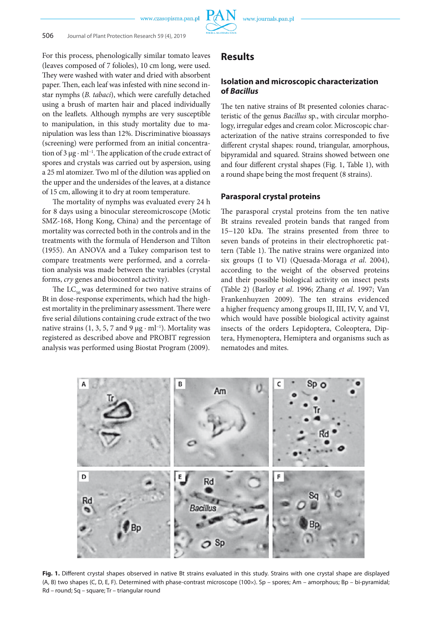For this process, phenologically similar tomato leaves (leaves composed of 7 folioles), 10 cm long, were used. They were washed with water and dried with absorbent paper. Then, each leaf was infested with nine second instar nymphs (*B. tabaci*), which were carefully detached using a brush of marten hair and placed individually on the leaflets. Although nymphs are very susceptible to manipulation, in this study mortality due to manipulation was less than 12%. Discriminative bioassays (screening) were performed from an initial concentration of 3 μg · ml−1. The application of the crude extract of spores and crystals was carried out by aspersion, using a 25 ml atomizer. Two ml of the dilution was applied on the upper and the undersides of the leaves, at a distance of 15 cm, allowing it to dry at room temperature.

The mortality of nymphs was evaluated every 24 h for 8 days using a binocular stereomicroscope (Motic SMZ-168, Hong Kong, China) and the percentage of mortality was corrected both in the controls and in the treatments with the formula of Henderson and Tilton (1955). An ANOVA and a Tukey comparison test to compare treatments were performed, and a correlation analysis was made between the variables (crystal forms, *cry* genes and biocontrol activity).

The  $LC_{50}$  was determined for two native strains of Bt in dose-response experiments, which had the highest mortality in the preliminary assessment. There were five serial dilutions containing crude extract of the two native strains (1, 3, 5, 7 and 9  $\mu$ g · ml<sup>-1</sup>). Mortality was registered as described above and PROBIT regression analysis was performed using Biostat Program (2009).

## **Results**

## **Isolation and microscopic characterization of** *Bacillus*

The ten native strains of Bt presented colonies characteristic of the genus *Bacillus* sp., with circular morphology, irregular edges and cream color. Microscopic characterization of the native strains corresponded to five different crystal shapes: round, triangular, amorphous, bipyramidal and squared. Strains showed between one and four different crystal shapes (Fig. 1, Table 1), with a round shape being the most frequent (8 strains).

#### **Parasporal crystal proteins**

The parasporal crystal proteins from the ten native Bt strains revealed protein bands that ranged from 15−120 kDa. The strains presented from three to seven bands of proteins in their electrophoretic pattern (Table 1). The native strains were organized into six groups (I to VI) (Quesada-Moraga *et al*. 2004), according to the weight of the observed proteins and their possible biological activity on insect pests (Table 2) (Barloy *et al*. 1996; Zhang *et al*. 1997; Van Frankenhuyzen 2009). The ten strains evidenced a higher frequency among groups II, III, IV, V, and VI, which would have possible biological activity against insects of the orders Lepidoptera, Coleoptera, Diptera, Hymenoptera, Hemiptera and organisms such as nematodes and mites.



**Fig. 1.** Different crystal shapes observed in native Bt strains evaluated in this study. Strains with one crystal shape are displayed (A, B) two shapes (C, D, E, F). Determined with phase-contrast microscope (100×). Sp – spores; Am – amorphous; Bp – bi-pyramidal; Rd – round; Sq – square; Tr – triangular round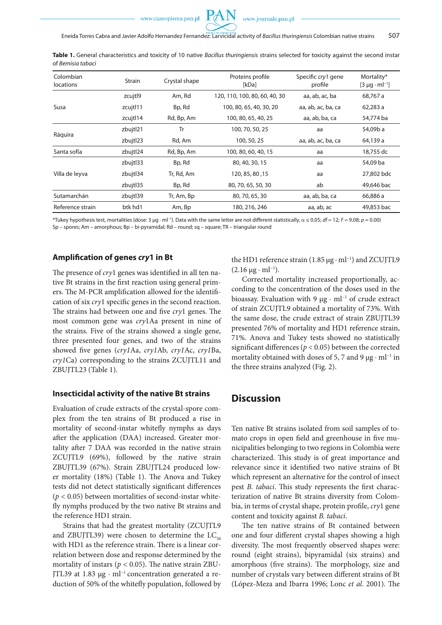

**Table 1.** General characteristics and toxicity of 10 native *Bacillus thuringiensis* strains selected for toxicity against the second instar of *Bemisia tabaci*

| Colombian<br><i>locations</i> | <b>Strain</b> | Crystal shape | Proteins profile<br>[kDa]     | Specific cry1 gene<br>profile | Mortality*<br>$[3 \mu q \cdot ml^{-1}]$ |
|-------------------------------|---------------|---------------|-------------------------------|-------------------------------|-----------------------------------------|
|                               | zcujtl9       | Am, Rd        | 120, 110, 100, 80, 60, 40, 30 | aa, ab, ac, ba                | 68,767 a                                |
| Susa                          | zcujtl11      | Bp, Rd        | 100, 80, 65, 40, 30, 20       | aa, ab, ac, ba, ca            | 62,283 a                                |
|                               | zcujtl14      | Rd, Bp, Am    | 100, 80, 65, 40, 25           | aa, ab, ba, ca                | 54,774 ba                               |
| Ráquira                       | zbujtl21      | Tr            | 100, 70, 50, 25               | aa                            | 54,09b a                                |
|                               | zbujtl23      | Rd, Am        | 100, 50, 25                   | aa, ab, ac, ba, ca            | 64,139 a                                |
| Santa sofía                   | zbujtl24      | Rd, Bp, Am    | 100, 80, 60, 40, 15           | aa                            | 18,755 dc                               |
|                               | zbujtl33      | Bp, Rd        | 80, 40, 30, 15                | aa                            | 54,09 ba                                |
| Villa de leyva                | zbujtl34      | Tr, Rd, Am    | 120, 85, 80, 15               | aa                            | 27,802 bdc                              |
|                               | zbujtl35      | Bp, Rd        | 80, 70, 65, 50, 30            | ab                            | 49,646 bac                              |
| Sutamarchán                   | zbujtl39      | Tr, Am, Bp    | 80, 70, 65, 30                | aa, ab, ba, ca                | 66,886 a                                |
| Reference strain              | btk hd1       | Am, Bp        | 180, 216, 246                 | aa, ab, ac                    | 49,853 bac                              |

\*Tukey hypothesis test, mortalities (dose: 3 µg · ml<sup>−</sup><sup>1</sup> ). Data with the same letter are not different statistically, α ≤ 0.05; *df* = 12; *F* = 9.08; *p* = 0.00) Sp – spores; Am – amorphous; Bp – bi-pyramidal; Rd – round; sq – square; TR – triangular round

#### **Amplification of genes** *cry***1 in Bt**

The presence of *cry*1 genes was identified in all ten native Bt strains in the first reaction using general primers. The M-PCR amplification allowed for the identification of six *cry*1 specific genes in the second reaction. The strains had between one and five *cry*1 genes. The most common gene was *cry*1Aa present in nine of the strains. Five of the strains showed a single gene, three presented four genes, and two of the strains showed five genes (*cry1*Aa, *cry1*Ab, *cry1*Ac, *cry1*Ba, *cry1*Ca) corresponding to the strains ZCUJTL11 and ZBUJTL23 (Table 1).

#### **Insecticidal activity of the native Bt strains**

Evaluation of crude extracts of the crystal-spore complex from the ten strains of Bt produced a rise in mortality of second-instar whitefly nymphs as days after the application (DAA) increased. Greater mortality after 7 DAA was recorded in the native strain ZCUJTL9 (69%), followed by the native strain ZBUJTL39 (67%). Strain ZBUJTL24 produced lower mortality (18%) (Table 1). The Anova and Tukey tests did not detect statistically significant differences  $(p < 0.05)$  between mortalities of second-instar whitefly nymphs produced by the two native Bt strains and the reference HD1 strain.

Strains that had the greatest mortality (ZCUJTL9 and ZBUJTL39) were chosen to determine the  $LC_{50}$ with HD1 as the reference strain. There is a linear correlation between dose and response determined by the mortality of instars ( $p < 0.05$ ). The native strain ZBU-JTL39 at 1.83 µg · ml−1 concentration generated a reduction of 50% of the whitefly population, followed by the HD1 reference strain (1.85 μg · ml<sup>-1</sup>) and ZCUJTL9  $(2.16 \mu g \cdot ml^{-1})$ .

Corrected mortality increased proportionally, according to the concentration of the doses used in the bioassay. Evaluation with 9 µg · ml−1 of crude extract of strain ZCUJTL9 obtained a mortality of 73%. With the same dose, the crude extract of strain ZBUJTL39 presented 76% of mortality and HD1 reference strain, 71%. Anova and Tukey tests showed no statistically significant differences (*p* < 0.05) between the corrected mortality obtained with doses of 5, 7 and 9  $\mu$ g · ml<sup>-1</sup> in the three strains analyzed (Fig. 2).

## **Discussion**

Ten native Bt strains isolated from soil samples of tomato crops in open field and greenhouse in five municipalities belonging to two regions in Colombia were characterized. This study is of great importance and relevance since it identified two native strains of Bt which represent an alternative for the control of insect pest *B. tabaci*. This study represents the first characterization of native Bt strains diversity from Colombia, in terms of crystal shape, protein profile, *cry*1 gene content and toxicity against *B. tabaci*.

The ten native strains of Bt contained between one and four different crystal shapes showing a high diversity. The most frequently observed shapes were: round (eight strains), bipyramidal (six strains) and amorphous (five strains). The morphology, size and number of crystals vary between different strains of Bt (López-Meza and Ibarra 1996; Lonc *et al*. 2001). The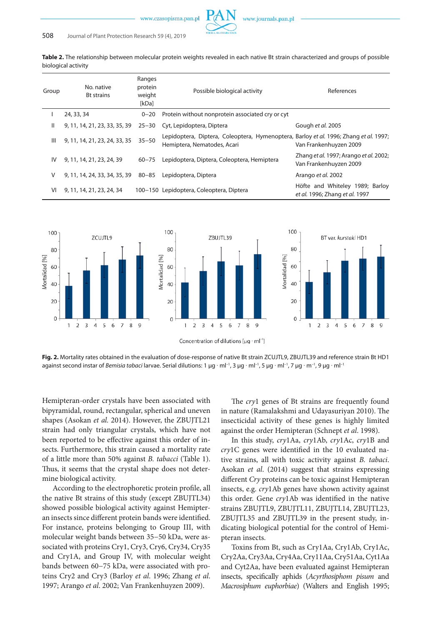

**Table 2.** The relationship between molecular protein weights revealed in each native Bt strain characterized and groups of possible biological activity

| Group          | No. native<br><b>Bt strains</b> | Ranges<br>protein<br>weight<br>[kDa] | Possible biological activity                                                                                         | References                                                        |
|----------------|---------------------------------|--------------------------------------|----------------------------------------------------------------------------------------------------------------------|-------------------------------------------------------------------|
|                | 24, 33, 34                      | $0 - 20$                             | Protein without nonprotein associated cry or cyt                                                                     |                                                                   |
| Ш              | 9, 11, 14, 21, 23, 33, 35, 39   | $25 - 30$                            | Cyt, Lepidoptera, Diptera                                                                                            | Gough et al. 2005                                                 |
| $\mathbf{III}$ | 9, 11, 14, 21, 23, 24, 33, 35   | $35 - 50$                            | Lepidoptera, Diptera, Coleoptera, Hymenoptera, Barloy et al. 1996; Zhang et al. 1997;<br>Hemiptera, Nematodes, Acari | Van Frankenhuyzen 2009                                            |
| IV             | 9, 11, 14, 21, 23, 24, 39       | $60 - 75$                            | Lepidoptera, Diptera, Coleoptera, Hemiptera                                                                          | Zhang et al. 1997; Arango et al. 2002;<br>Van Frankenhuyzen 2009  |
| V              | 9, 11, 14, 24, 33, 34, 35, 39   | 80-85                                | Lepidoptera, Diptera                                                                                                 | Arango et al. 2002                                                |
| VI             | 9, 11, 14, 21, 23, 24, 34       |                                      | 100–150 Lepidoptera, Coleoptera, Diptera                                                                             | Höfte and Whiteley 1989; Barloy<br>et al. 1996; Zhang et al. 1997 |



**Fig. 2.** Mortality rates obtained in the evaluation of dose-response of native Bt strain ZCUJTL9, ZBUJTL39 and reference strain Bt HD1 against second instar of *Bemisia tabaci* larvae. Serial dilutions: 1 µg ∙ ml–1, 3 µg ∙ ml–1, 5 µg ∙ ml–1, 7 µg ∙ m–1, 9 µg ∙ ml–1

Hemipteran-order crystals have been associated with bipyramidal, round, rectangular, spherical and uneven shapes (Asokan *et al.* 2014). However, the ZBUJTL21 strain had only triangular crystals, which have not been reported to be effective against this order of insects. Furthermore, this strain caused a mortality rate of a little more than 50% against *B. tabacci* (Table 1). Thus, it seems that the crystal shape does not determine biological activity.

According to the electrophoretic protein profile, all the native Bt strains of this study (except ZBUJTL34) showed possible biological activity against Hemipteran insects since different protein bands were identified. For instance, proteins belonging to Group III, with molecular weight bands between 35−50 kDa, were associated with proteins Cry1, Cry3, Cry6, Cry34, Cry35 and Cry1A, and Group IV, with molecular weight bands between 60−75 kDa, were associated with proteins Cry2 and Cry3 (Barloy *et al*. 1996; Zhang *et al*. 1997; Arango *et al*. 2002; Van Frankenhuyzen 2009).

The *cry*1 genes of Bt strains are frequently found in nature (Ramalakshmi and Udayasuriyan 2010). The insecticidal activity of these genes is highly limited against the order Hemipteran (Schnept *et al*. 1998).

In this study, *cry*1Aa, *cry*1Ab, *cry*1Ac, *cry*1B and *cry*1C genes were identified in the 10 evaluated native strains, all with toxic activity against *B. tabaci*. Asokan *et al*. (2014) suggest that strains expressing different *Cry* proteins can be toxic against Hemipteran insects, e.g. *cry*1Ab genes have shown activity against this order. Gene *cry*1Ab was identified in the native strains ZBUJTL9, ZBUJTL11, ZBUJTL14, ZBUJTL23, ZBUJTL35 and ZBUJTL39 in the present study, indicating biological potential for the control of Hemipteran insects.

Toxins from Bt, such as Cry1Aa, Cry1Ab, Cry1Ac, Cry2Aa, Cry3Aa, Cry4Aa, Cry11Aa, Cry51Aa, Cyt1Aa and Cyt2Aa, have been evaluated against Hemipteran insects, specifically aphids (*Acyrthosiphom pisum* and *Macrosiphum euphorbiae*) (Walters and English 1995;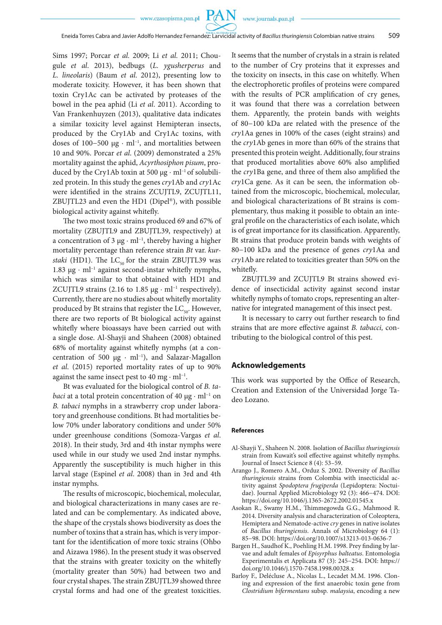Sims 1997; Porcar *et al.* 2009; Li *et al.* 2011; Chougule *et al*. 2013), bedbugs (*L. ygusherperus* and *L. lineolaris*) (Baum *et al*. 2012), presenting low to moderate toxicity. However, it has been shown that toxin Cry1Ac can be activated by proteases of the bowel in the pea aphid (Li *et al*. 2011). According to Van Frankenhuyzen (2013), qualitative data indicates a similar toxicity level against Hemipteran insects, produced by the Cry1Ab and Cry1Ac toxins, with doses of 100−500 μg · ml<sup>-1</sup>, and mortalities between 10 and 90%. Porcar *et al*. (2009) demonstrated a 25% mortality against the aphid, *Acyrthosiphon pisum*, produced by the Cry1Ab toxin at 500  $\mu$ g · ml<sup>-1</sup> of solubilized protein. In this study the genes *cry*1Ab and *cry*1Ac were identified in the strains ZCUJTL9, ZCUJTL11, ZBUJTL23 and even the HD1 (Dipel®), with possible biological activity against whitefly.

The two most toxic strains produced 69 and 67% of mortality (ZBUJTL9 and ZBUJTL39, respectively) at a concentration of 3 µg · ml−1, thereby having a higher mortality percentage than reference strain *Bt* var. *kurstaki* (HD1). The  $LC_{50}$  for the strain ZBUJTL39 was 1.83 µg ⋅ ml–1 against second-instar whitefly nymphs, which was similar to that obtained with HD1 and ZCUJTL9 strains (2.16 to 1.85  $\mu$ g · ml<sup>-1</sup> respectively). Currently, there are no studies about whitefly mortality produced by Bt strains that register the  $LC_{50}$ . However, there are two reports of Bt biological activity against whitefly where bioassays have been carried out with a single dose. Al-Shayji and Shaheen (2008) obtained 68% of mortality against whitefly nymphs (at a concentration of 500 µg · ml−1), and Salazar-Magallon *et al*. (2015) reported mortality rates of up to 90% against the same insect pest to 40 mg  $\cdot$  ml<sup>-1</sup>.

Bt was evaluated for the biological control of *B. tabaci* at a total protein concentration of 40 μg · ml<sup>-1</sup> on *B. tabaci* nymphs in a strawberry crop under laboratory and greenhouse conditions. Bt had mortalities below 70% under laboratory conditions and under 50% under greenhouse conditions (Somoza-Vargas *et al*. 2018). In their study, 3rd and 4th instar nymphs were used while in our study we used 2nd instar nymphs. Apparently the susceptibility is much higher in this larval stage (Espinel *et al*. 2008) than in 3rd and 4th instar nymphs.

The results of microscopic, biochemical, molecular, and biological characterizations in many cases are related and can be complementary. As indicated above, the shape of the crystals shows biodiversity as does the number of toxins that a strain has, which is very important for the identification of more toxic strains (Ohbo and Aizawa 1986). In the present study it was observed that the strains with greater toxicity on the whitefly (mortality greater than 50%) had between two and four crystal shapes. The strain ZBUJTL39 showed three crystal forms and had one of the greatest toxicities.

It seems that the number of crystals in a strain is related to the number of Cry proteins that it expresses and the toxicity on insects, in this case on whitefly. When the electrophoretic profiles of proteins were compared with the results of PCR amplification of cry genes, it was found that there was a correlation between them. Apparently, the protein bands with weights of 80−100 kDa are related with the presence of the *cry*1Aa genes in 100% of the cases (eight strains) and the *cry*1Ab genes in more than 60% of the strains that presented this protein weight. Additionally, four strains that produced mortalities above 60% also amplified the *cry*1Ba gene, and three of them also amplified the *cry*1Ca gene. As it can be seen, the information obtained from the microscopic, biochemical, molecular, and biological characterizations of Bt strains is complementary, thus making it possible to obtain an integral profile on the characteristics of each isolate, which is of great importance for its classification. Apparently, Bt strains that produce protein bands with weights of 80−100 kDa and the presence of genes *cry*1Aa and *cry*1Ab are related to toxicities greater than 50% on the whitefly.

ZBUJTL39 and ZCUJTL9 Bt strains showed evidence of insecticidal activity against second instar whitefly nymphs of tomato crops, representing an alternative for integrated management of this insect pest.

It is necessary to carry out further research to find strains that are more effective against *B. tabacci,* contributing to the biological control of this pest.

#### **Acknowledgements**

This work was supported by the Office of Research, Creation and Extension of the Universidad Jorge Tadeo Lozano.

#### **References**

- Al-Shayji Y., Shaheen N. 2008. Isolation of *Bacillus thuringiensis* strain from Kuwait's soil effective against whitefly nymphs. Journal of Insect Science 8 (4): 53–59.
- Arango J., Romero A.M., Orduz S. 2002. Diversity of *Bacillus thuringiensis* strains from Colombia with insecticidal activity against *Spodoptera frugiperda* (Lepidoptera: Noctuidae). Journal Applied Microbiology 92 (3): 466−474. DOI: https://doi.org/10.1046/j.1365-2672.2002.01545.x
- Asokan R., Swamy H.M., Thimmegowda G.G., Mahmood R. 2014. Diversity analysis and characterization of Coleoptera, Hemiptera and Nematode-active *cry* genes in native isolates of *Bacillus thuringiensis*. Annals of Microbiology 64 (1): 85−98. DOI: https://doi.org/10.1007/s13213-013-0636-7
- Bargen H., Saudhof K., Poehling H.M. 1998. Prey finding by larvae and adult females of *Episyrphus balteatus*. Entomologia Experimentalis et Applicata 87 (3): 245−254. DOI: https:// doi.org/10.1046/j.1570-7458.1998.00328.x
- Barloy F., Delécluse A., Nicolas L., Lecadet M.M. 1996. Cloning and expression of the first anaerobic toxin gene from *Clostridium bifermentans* subsp. *malaysia*, encoding a new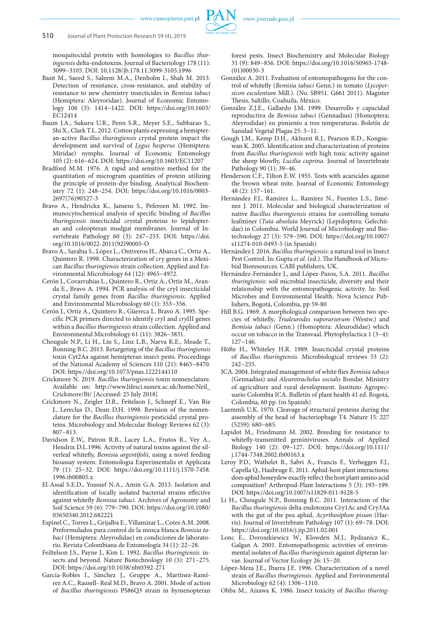mosquitocidal protein with homologies to *Bacillus thuringiensis* delta-endotoxins. Journal of Bacteriology 178 (11): 3099−3105. DOI: 10.1128/jb.178.11.3099-3105.1996

- Basit M., Saeed S., Saleem M.A., Denholm I., Shah M. 2013. Detection of resistance, cross-resistance, and stability of resistance to new chemistry insecticides in *Bemisia tabaci* (Hemiptera: Aleyroridae). Journal of Economic Entomology 106 (3): 1414−1422. DOI: https://doi.org/10.1603/ EC12414
- Baum J.A., Sukuru U.R., Penn S.R., Meyer S.E., Subbarao S., Shi X., Clark T.L. 2012. Cotton plants expressing a hemipteran-active *Bacillus thuringiensis* crystal protein impact the development and survival of *Lygus hesperus* (Hemiptera: Miridae) nymphs. Journal of Economic Entomology 105 (2): 616−624. DOI: https://doi.org/10.1603/EC11207
- Bradford M.M. 1976. A rapid and sensitive method for the quantitation of microgram quantities of protein utilizing the principle of protein-dye binding. Analytical Biochemistry 72 (1): 248−254. DOI: https://doi.org/10.1016/0003- 2697(76)90527-3
- Bravo A., Hendrickx K., Jansens S., Peferoen M. 1992. Immunocytochemical analysis of specific binding of *Bacillus thuringiensis* insecticidal crystal proteins to lepidopteran and coleopteran mudgut membranes. Journal of Invertebrate Pathology 60 (3): 247−253. DOI: https://doi. org/10.1016/0022-2011(92)90005-O
- Bravo A., Sarabia S., López L., Ontiveros H., Abarca C., Ortiz A., Quintero R. 1998. Characterization of cry genes in a Mexican *Bacillus thuringiensis* strain collection. Applied and Environmental Microbiology 64 (12): 4965−4972.
- Cerón J., Covarrubias L., Quintero R., Ortiz A., Ortiz M., Aranda E., Bravo A. 1994. PCR analysis of the cryI insecticidal crystal family genes from *Bacillus thuringiensis*. Applied and Environmental Microbiology 60 (1): 353−356.
- Cerón J., Ortíz A., Quintero R., Güereca L. Bravo A. 1995. Specific PCR primers directed to identify *cry*I and *cry*III genes within a *Bacillus thuringiensis* strain collection. Applied and Environmental Microbiology 61 (11): 3826−3831.
- Chougule N.P., Li H., Liu S., Linz L.B., Narva K.E., Meade T., Bonning B.C. 2013. Retargeting of the *Bacillus thuringiensis* toxin Cyt2Aa against hemipteran insect pests. Proceedings of the National Academy of Sciences 110 (21): 8465−8470. DOI: https://doi.org/10.1073/pnas.1222144110
- Crickmore N. 2019. *Bacillus thuringiensis* toxin nomenclature. Available on: http://www.lifesci.sussex.ac.uk/home/Neil\_ Crickmore/Bt/ [Accessed: 25 July 2018]
- Crickmore N., Zeigler D.R., Feitelson J., Schnepf E., Van Rie J., Lereclus D., Dean D.H. 1998. Revision of the nomenclature for the *Bacillus thuringiensis* pesticidal crystal proteins. Microbiology and Molecular Biology Reviews 62 (3): 807−813.
- Davidson E.W., Patron R.B., Lacey L.A., Frutos R., Vey A., Hendrix D.L.1996. Activity of natural toxins against the silverleaf whitefly, *Bemisia argentifolii*, using a novel feeding bioassay system. Entomologia Experimentalis et Applicata 79 (1): 25−32. DOI: https://doi.org/10.1111/j.1570-7458. 1996.tb00805.x
- El-Assal S.E.D., Youssef N.A., Amin G.A. 2013. Isolation and identification of locally isolated bacterial strains effective against whitefly *Bemisia tabaci*. Archives of Agronomy and Soil Science 59 (6): 779−790. DOI: https://doi.org/10.1080/ 03650340.2012.682221
- Espinel C., Torres L., Grijalba E., Villamizar L., Cotes A.M. 2008. Preformulados para control de la mosca blanca *Bemisia tabaci* (Hemiptera: Aleyrodidae) en condiciones de laboratorio. Revista Colombiana de Entomología 34 (1): 22−28.
- Feiltelson J.S., Payne J., Kim L. 1992. *Bacillus thuringiensis*: insects and beyond. Nature Biotechnology 10 (3): 271−275. DOI: https://doi.org/10.1038/nbt0392-271
- Garcia-Robles I., Sánchez J., Gruppe A., Martínez-Ramírez A.C., Rausell- Real M.D., Bravo A. 2001. Mode of action of *Bacillus thuringiensis* PS86Q3 strain in hymenopteran

forest pests. Insect Biochemistry and Molecular Biology 31 (9): 849−856. DOI: https://doi.org/10.1016/S0965-1748- (01)00030-3

- González A. 2011. Evaluation of entomopathogens for the control of whitefly (*Bemisia tabaci* Genn.) in tomato (*Lycopersicon esculentum* Mill.). (No. SB951. G661 2011). Magister Thesis, Saltillo, Coahuila, México.
- González Z.J.E., Gallardo J.M. 1999. Desarrollo y capacidad reproductiva de *Bemisia tabaci* (Gennadius) (Homoptera; Aleyrodidae) en pimiento a tres temperaturas. Boletín de Sanidad Vegetal Plagas 25: 3−11.
- Gough J.M., Kemp D.H., Akhurst R.J., Pearson R.D., Kongsuwan K. 2005. Identification and characterization of proteins from *Bacillus thuringiensis* with high toxic activity against the sheep blowfly, *Lucilia cuprina*. Journal of Invertebrate Pathology 90 (1): 39–46.
- Henderson C.F., Tilton E.W. 1955. Tests with acaricides against the brown wheat mite. Journal of Economic Entomology 48 (2): 157−161.
- Hernández F.J., Ramírez L., Ramirez N., Fuentes L.S., Jiménez J. 2011. Molecular and biological characterization of native *Bacillus thuringiensis* strains for controlling tomato leafminer (*Tuta absoluta* Meyrick) (Lepidoptera: Gelechiidae) in Colombia. World Journal of Microbiology and Biotechnology 27 (3): 579−590. DOI: https://doi.org/10.1007/ s11274-010-0493-5 (in Spanish)
- Hernández J. 2016. *Bacillus thuringiensis*: a natural tool in Insect Pest Control. In: Gupta *et al*. (ed.). The Handbook of Microbial Bioresources. CABI publishers, UK.
- Hernández-Fernández J., and López-Pazos, S.A. 2011. *Bacillus thuringiensis*: soil microbial insecticide, diversity and their relationship with the entomopathogenic activity. In: Soil Microbes and Environmental Health. Nova Science Publishers, Bogotá, Colombia, pp 59-80
- Hill B.G. 1969. A morphological comparison between two species of whitefly, *Trialeurodes vaporariorum* (Westw.) and *Bemisia tabaci* (Genn.) (Homoptera: Aleurodidae) which occur on tobacco in the Transvaal. Phytophylactica 1 (3−4): 127−146.
- Höfte H., Whiteley H.R. 1989. Insecticidal crystal proteins of *Bacillus thuringiensis*. Microbiological reviews 53 (2): 242−255.
- ICA. 2004. Integrated management of white flies *Bemisia tabaco* (Gennadius) and *Aleurotrachelus socialis* Bondar. Ministry of agriculture and rural development. Instituto Agropecuario Colombia ICA. Bulletin of plant health 41 ed. Bogotá, Colombia, 60 pp. (in Spanish)
- Laemmli U.K. 1970. Cleavage of structural proteins during the assembly of the head of bacteriophage T4. Nature 15: 227 (5259): 680−685.
- Lapidot M., Friedmann M. 2002. Breeding for resistance to whitefly-transmitted geminiviruses. Annals of Applied Biology 140 (2): 09−127. DOI: https://doi.org/10.1111/ j.1744-7348.2002.tb00163.x
- Leroy P.D., Wathelet B., Sabri A., Francis F., Verheggen F.J., Capella Q., Haubruge E. 2011. Aphid-host plant interactions: does aphid honeydew exactly reflect the host plant amino acid composition? Arthropod-Plant Interactions 5 (3): 193−199. DOI: https://doi.org/10.1007/s11829-011-9128-5
- Li H., Chougule N.P., Bonning B.C. 2011. Interaction of the *Bacillus thuringiensis* delta endotoxins Cry1Ac and Cry3Aa with the gut of the pea aphid, *Acyrthosiphon pisum* (Harris). Journal of Invertebrate Pathology 107 (1): 69−78. DOI: https://doi.org/10.1016/j.jip.2011.02.001
- Lonc E., Doroszkiewicz W., Klowden M.J., Rydzanicz K., Galgan A. 2001. Entomopathogenic activities of environmental isolates of *Bacillus thuringiensis* against dipteran larvae. Journal of Vector Ecology 26: 15−20.
- López-Meza J.E., Ibarra J.E. 1996. Characterization of a novel strain of *Bacillus thuringiensis*. Applied and Environmental Microbiology 62 (4): 1306−1310.

Ohba M., Aizawa K. 1986. Insect toxicity of *Bacillus thuring-*